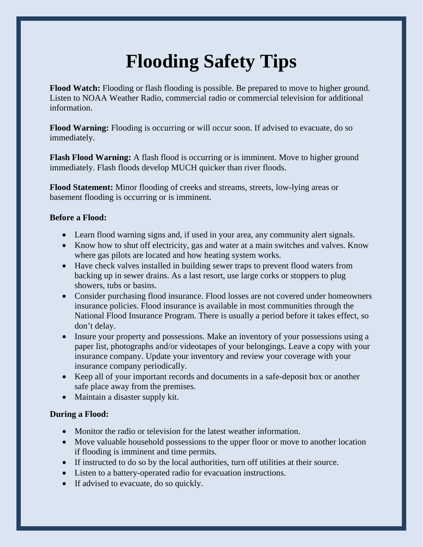## **Flooding Safety Tips**

**Flood Watch:** Flooding or flash flooding is possible. Be prepared to move to higher ground. Listen to NOAA Weather Radio, commercial radio or commercial television for additional information.

**Flood Warning:** Flooding is occurring or will occur soon. If advised to evacuate, do so immediately.

**Flash Flood Warning:** A flash flood is occurring or is imminent. Move to higher ground immediately. Flash floods develop MUCH quicker than river floods.

**Flood Statement:** Minor flooding of creeks and streams, streets, low-lying areas or basement flooding is occurring or is imminent.

## **Before a Flood:**

- Learn flood warning signs and, if used in your area, any community alert signals.
- Know how to shut off electricity, gas and water at a main switches and valves. Know where gas pilots are located and how heating system works.
- Have check valves installed in building sewer traps to prevent flood waters from backing up in sewer drains. As a last resort, use large corks or stoppers to plug showers, tubs or basins.
- Consider purchasing flood insurance. Flood losses are not covered under homeowners insurance policies. Flood insurance is available in most communities through the National Flood Insurance Program. There is usually a period before it takes effect, so don't delay.
- Insure your property and possessions. Make an inventory of your possessions using a paper list, photographs and/or videotapes of your belongings. Leave a copy with your insurance company. Update your inventory and review your coverage with your insurance company periodically.
- Keep all of your important records and documents in a safe-deposit box or another safe place away from the premises.
- Maintain a disaster supply kit.

## **During a Flood:**

- Monitor the radio or television for the latest weather information.
- Move valuable household possessions to the upper floor or move to another location if flooding is imminent and time permits.
- If instructed to do so by the local authorities, turn off utilities at their source.
- Listen to a battery-operated radio for evacuation instructions.
- If advised to evacuate, do so quickly.